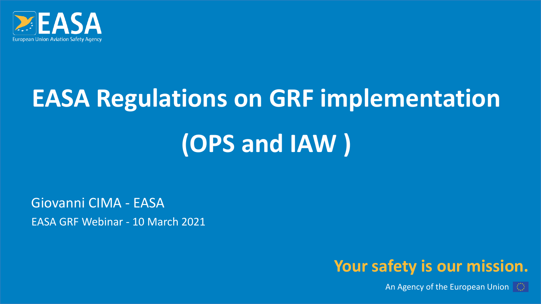

### **EASA Regulations on GRF implementation**

### **(OPS and IAW )**

Giovanni CIMA - EASA EASA GRF Webinar - 10 March 2021



An Agency of the European Union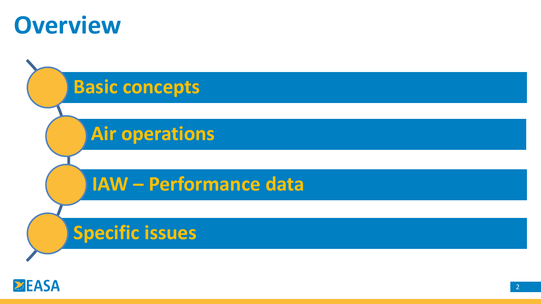



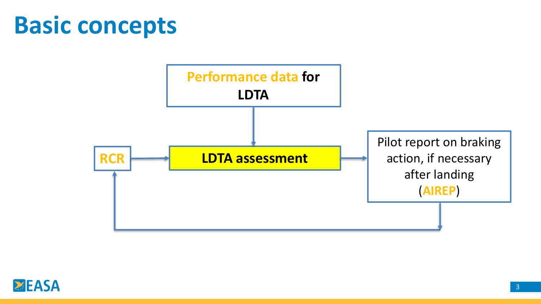#### **Basic concepts**



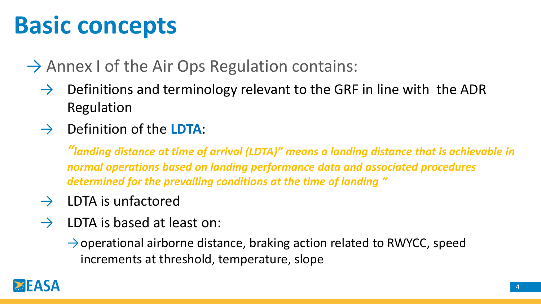### **Basic concepts**

 $\rightarrow$  Annex I of the Air Ops Regulation contains:

- $\rightarrow$  Definitions and terminology relevant to the GRF in line with the ADR Regulation
- $\rightarrow$  Definition of the **LDTA**:

*"landing distance at time of arrival (LDTA)" means a landing distance that is achievable in normal operations based on landing performance data and associated procedures determined for the prevailing conditions at the time of landing "*

- $\rightarrow$  LDTA is unfactored
- $\rightarrow$  LDTA is based at least on:
	- $\rightarrow$  operational airborne distance, braking action related to RWYCC, speed increments at threshold, temperature, slope

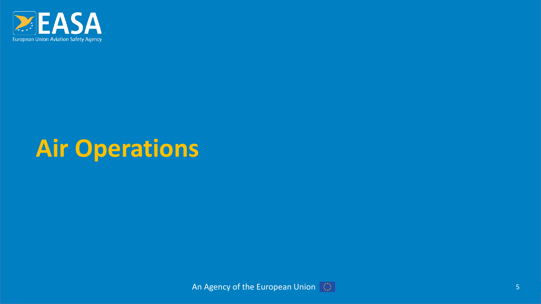

#### **Air Operations**

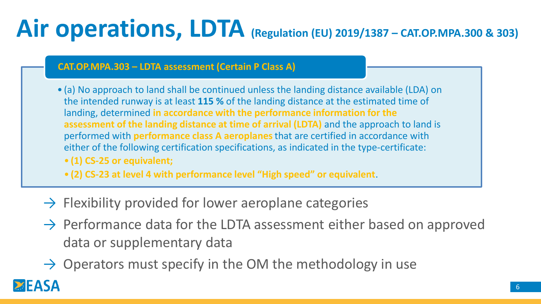### **Air operations, LDTA (Regulation (EU) 2019/1387 – CAT.OP.MPA.300 & 303)**

#### **CAT.OP.MPA.303 – LDTA assessment (Certain P Class A)**

- (a) No approach to land shall be continued unless the landing distance available (LDA) on the intended runway is at least **115 %** of the landing distance at the estimated time of landing, determined **in accordance with the performance information for the assessment of the landing distance at time of arrival (LDTA)** and the approach to land is performed with **performance class A aeroplanes** that are certified in accordance with either of the following certification specifications, as indicated in the type-certificate:
	- **(1) CS-25 or equivalent;**
- **(2) CS-23 at level 4 with performance level "High speed" or equivalent**.
- $\rightarrow$  Flexibility provided for lower aeroplane categories
- $\rightarrow$  Performance data for the LDTA assessment either based on approved data or supplementary data
- $\rightarrow$  Operators must specify in the OM the methodology in use

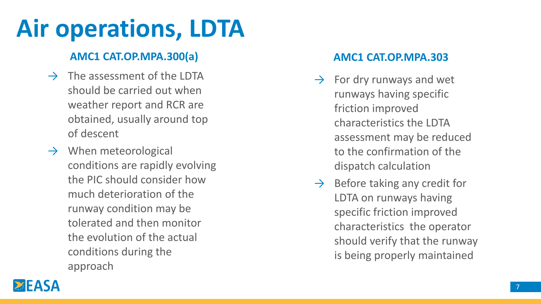### **Air operations, LDTA**

#### **AMC1 CAT.OP.MPA.300(a) AMC1 CAT.OP.MPA.303**

- $\rightarrow$  The assessment of the LDTA should be carried out when weather report and RCR are obtained, usually around top of descent
- $\rightarrow$  When meteorological conditions are rapidly evolving the PIC should consider how much deterioration of the runway condition may be tolerated and then monitor the evolution of the actual conditions during the approach

- $\rightarrow$  For dry runways and wet runways having specific friction improved characteristics the LDTA assessment may be reduced to the confirmation of the dispatch calculation
- $\rightarrow$  Before taking any credit for LDTA on runways having specific friction improved characteristics the operator should verify that the runway is being properly maintained

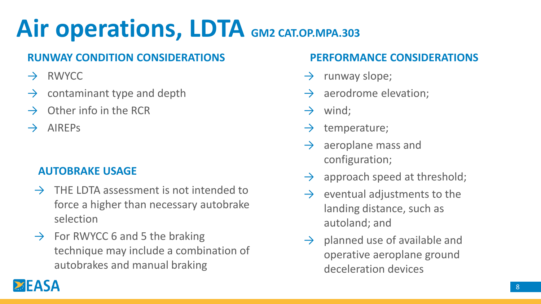### **Air operations, LDTA GM2 CAT.OP.MPA.303**

#### **RUNWAY CONDITION CONSIDERATIONS PERFORMANCE CONSIDERATIONS**

- $\rightarrow$  RWYCC
- $\rightarrow$  contaminant type and depth
- Other info in the RCR
- $\rightarrow$  AIREPs

#### **AUTOBRAKE USAGE**

- $\rightarrow$  THE LDTA assessment is not intended to force a higher than necessary autobrake selection
- $\rightarrow$  For RWYCC 6 and 5 the braking technique may include a combination of autobrakes and manual braking

- $\rightarrow$  runway slope;
- aerodrome elevation;
- $\rightarrow$  wind;
- $\rightarrow$  temperature;
- $\rightarrow$  aeroplane mass and configuration;
- $\rightarrow$  approach speed at threshold;
- $\rightarrow$  eventual adjustments to the landing distance, such as autoland; and
- $\rightarrow$  planned use of available and operative aeroplane ground deceleration devices

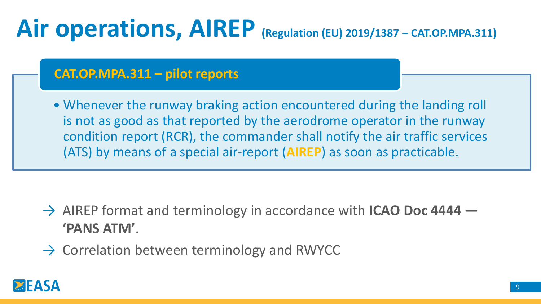#### **Air operations, AIREP (Regulation (EU) 2019/1387 – CAT.OP.MPA.311)**

#### **CAT.OP.MPA.311 – pilot reports**

• Whenever the runway braking action encountered during the landing roll is not as good as that reported by the aerodrome operator in the runway condition report (RCR), the commander shall notify the air traffic services (ATS) by means of a special air-report (**AIREP**) as soon as practicable.

- → AIREP format and terminology in accordance with **ICAO Doc 4444 — 'PANS ATM'**.
- $\rightarrow$  Correlation between terminology and RWYCC

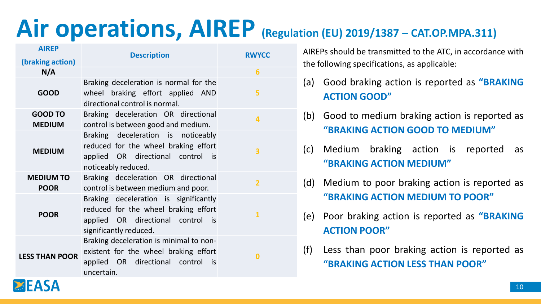#### **Air operations, AIREP (Regulation (EU) 2019/1387 – CAT.OP.MPA.311)**

| <b>AIREP</b>                    | <b>Description</b>                                                                                                                           | <b>RWYCC</b>   |
|---------------------------------|----------------------------------------------------------------------------------------------------------------------------------------------|----------------|
| (braking action)                |                                                                                                                                              |                |
| N/A                             |                                                                                                                                              | 6              |
| <b>GOOD</b>                     | Braking deceleration is normal for the<br>wheel braking effort applied AND<br>directional control is normal.                                 | 5              |
| <b>GOOD TO</b><br><b>MEDIUM</b> | Braking deceleration OR directional<br>control is between good and medium.                                                                   | 4              |
| <b>MEDIUM</b>                   | Braking deceleration is noticeably<br>reduced for the wheel braking effort<br>applied OR directional control is<br>noticeably reduced.       | 3              |
| <b>MEDIUM TO</b><br><b>POOR</b> | Braking deceleration OR directional<br>control is between medium and poor.                                                                   | $\overline{2}$ |
| <b>POOR</b>                     | Braking deceleration is significantly<br>reduced for the wheel braking effort<br>applied OR directional control is<br>significantly reduced. | 1              |
| <b>LESS THAN POOR</b>           | Braking deceleration is minimal to non-<br>existent for the wheel braking effort<br>applied OR directional control is<br>uncertain.          | $\bf{0}$       |

AIREPs should be transmitted to the ATC, in accordance with the following specifications, as applicable:

- (a) Good braking action is reported as **"BRAKING ACTION GOOD"**
- (b) Good to medium braking action is reported as **"BRAKING ACTION GOOD TO MEDIUM"**
- (c) Medium braking action is reported as **"BRAKING ACTION MEDIUM"**
- (d) Medium to poor braking action is reported as **"BRAKING ACTION MEDIUM TO POOR"**
- (e) Poor braking action is reported as **"BRAKING ACTION POOR"**
- (f) Less than poor braking action is reported as **"BRAKING ACTION LESS THAN POOR"**

10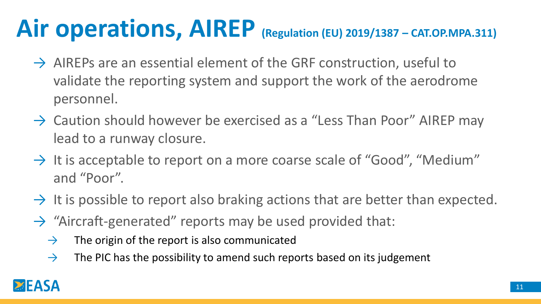### **Air operations, AIREP (Regulation (EU) 2019/1387 – CAT.OP.MPA.311)**

- $\rightarrow$  AIREPs are an essential element of the GRF construction, useful to validate the reporting system and support the work of the aerodrome personnel.
- $\rightarrow$  Caution should however be exercised as a "Less Than Poor" AIREP may lead to a runway closure.
- $\rightarrow$  It is acceptable to report on a more coarse scale of "Good", "Medium" and "Poor".
- $\rightarrow$  It is possible to report also braking actions that are better than expected.
- $\rightarrow$  "Aircraft-generated" reports may be used provided that:
	- $\rightarrow$  The origin of the report is also communicated
	- $\rightarrow$  The PIC has the possibility to amend such reports based on its judgement

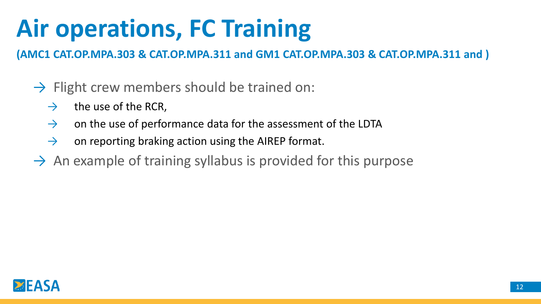### **Air operations, FC Training**

**(AMC1 CAT.OP.MPA.303 & CAT.OP.MPA.311 and GM1 CAT.OP.MPA.303 & CAT.OP.MPA.311 and )**

- $\rightarrow$  Flight crew members should be trained on:
	- $\rightarrow$  the use of the RCR,
	- $\rightarrow$  on the use of performance data for the assessment of the LDTA
	- $\rightarrow$  on reporting braking action using the AIREP format.
- $\rightarrow$  An example of training syllabus is provided for this purpose

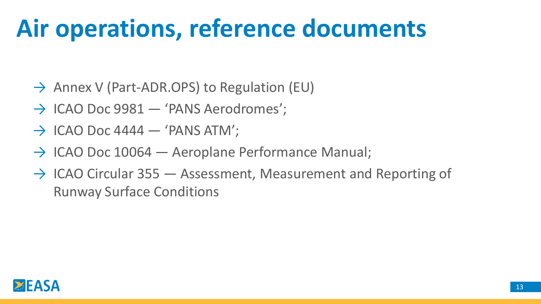### **Air operations, reference documents**

- $\rightarrow$  Annex V (Part-ADR.OPS) to Regulation (EU)
- $\rightarrow$  ICAO Doc 9981  $-$  'PANS Aerodromes';
- $\rightarrow$  ICAO Doc 4444  $-$  'PANS ATM';
- $\rightarrow$  ICAO Doc 10064 Aeroplane Performance Manual;
- $\rightarrow$  ICAO Circular 355  $-$  Assessment, Measurement and Reporting of Runway Surface Conditions

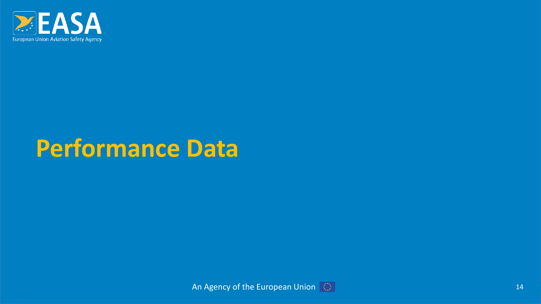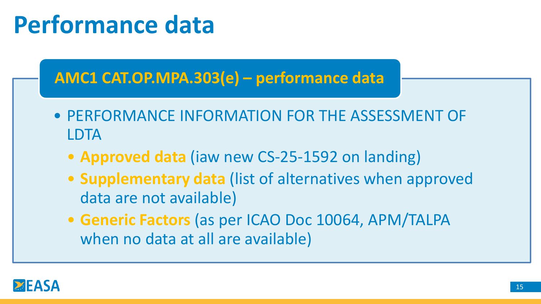#### **AMC1 CAT.OP.MPA.303(e) – performance data**

- PERFORMANCE INFORMATION FOR THE ASSESSMENT OF LDTA
	- **Approved data** (iaw new CS-25-1592 on landing)
	- **Supplementary data** (list of alternatives when approved data are not available)
	- **Generic Factors** (as per ICAO Doc 10064, APM/TALPA when no data at all are available)

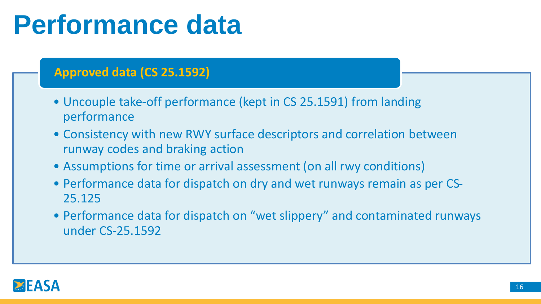#### **Approved data (CS 25.1592)**

- Uncouple take-off performance (kept in CS 25.1591) from landing performance
- Consistency with new RWY surface descriptors and correlation between runway codes and braking action
- Assumptions for time or arrival assessment (on all rwy conditions)
- Performance data for dispatch on dry and wet runways remain as per CS-25.125
- Performance data for dispatch on "wet slippery" and contaminated runways under CS-25.1592

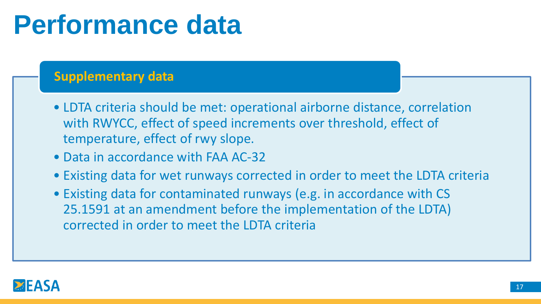#### **Supplementary data**

- LDTA criteria should be met: operational airborne distance, correlation with RWYCC, effect of speed increments over threshold, effect of temperature, effect of rwy slope.
- Data in accordance with FAA AC-32
- Existing data for wet runways corrected in order to meet the LDTA criteria
- Existing data for contaminated runways (e.g. in accordance with CS 25.1591 at an amendment before the implementation of the LDTA) corrected in order to meet the LDTA criteria

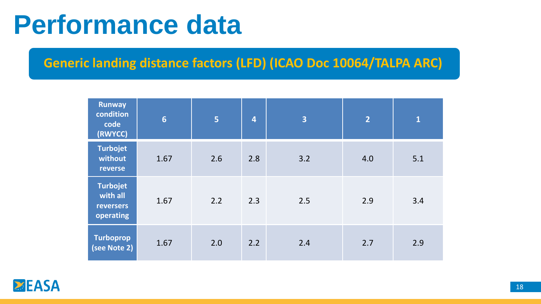#### **Generic landing distance factors (LFD) (ICAO Doc 10064/TALPA ARC)**

| <b>Runway</b><br>condition<br>code<br>(RWYCC)                | $6\phantom{1}6$ | 5   | $\overline{4}$ | $\overline{\mathbf{3}}$ | $\overline{2}$ | $\mathbf{1}$ |
|--------------------------------------------------------------|-----------------|-----|----------------|-------------------------|----------------|--------------|
| <b>Turbojet</b><br>without<br>reverse                        | 1.67            | 2.6 | 2.8            | 3.2                     | 4.0            | 5.1          |
| <b>Turbojet</b><br>with all<br><b>reversers</b><br>operating | 1.67            | 2.2 | 2.3            | 2.5                     | 2.9            | 3.4          |
| <b>Turboprop</b><br>(see Note 2)                             | 1.67            | 2.0 | 2.2            | 2.4                     | 2.7            | 2.9          |

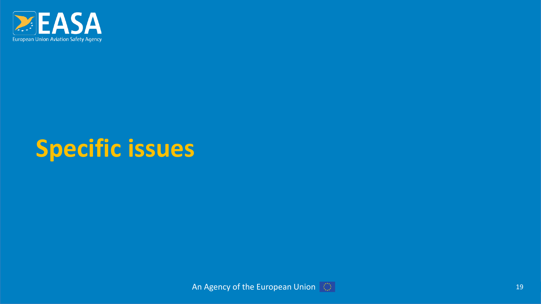

#### **Specific issues**

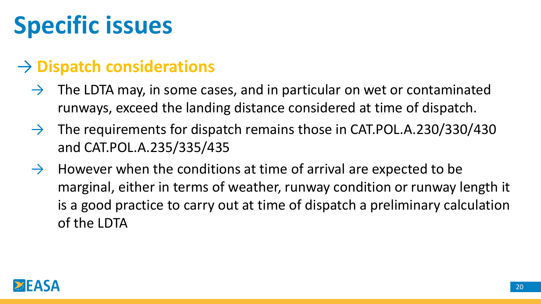### **Specific issues**

#### → **Dispatch considerations**

- $\rightarrow$  The LDTA may, in some cases, and in particular on wet or contaminated runways, exceed the landing distance considered at time of dispatch.
- $\rightarrow$  The requirements for dispatch remains those in CAT.POL.A.230/330/430 and CAT.POL.A.235/335/435
- $\rightarrow$  However when the conditions at time of arrival are expected to be marginal, either in terms of weather, runway condition or runway length it is a good practice to carry out at time of dispatch a preliminary calculation of the LDTA

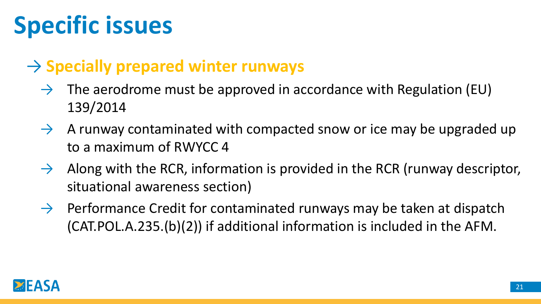### **Specific issues**

#### → **Specially prepared winter runways**

- $\rightarrow$  The aerodrome must be approved in accordance with Regulation (EU) 139/2014
- $\rightarrow$  A runway contaminated with compacted snow or ice may be upgraded up to a maximum of RWYCC 4
- $\rightarrow$  Along with the RCR, information is provided in the RCR (runway descriptor, situational awareness section)
- $\rightarrow$  Performance Credit for contaminated runways may be taken at dispatch (CAT.POL.A.235.(b)(2)) if additional information is included in the AFM.